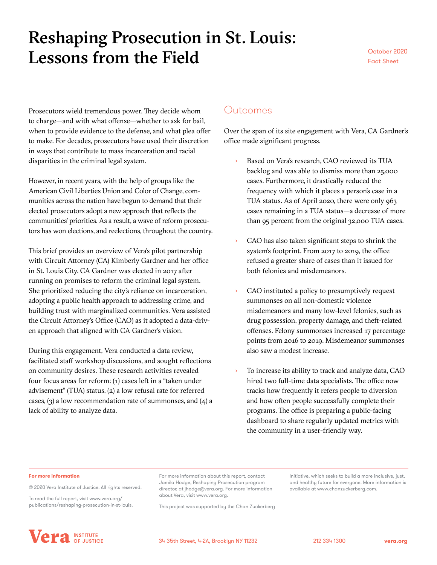# Reshaping Prosecution in St. Louis: Lessons from the Field Cotober 2020

Prosecutors wield tremendous power. They decide whom to charge—and with what offense—whether to ask for bail, when to provide evidence to the defense, and what plea offer to make. For decades, prosecutors have used their discretion in ways that contribute to mass incarceration and racial disparities in the criminal legal system.

However, in recent years, with the help of groups like the American Civil Liberties Union and Color of Change, communities across the nation have begun to demand that their elected prosecutors adopt a new approach that reflects the communities' priorities. As a result, a wave of reform prosecutors has won elections, and reelections, throughout the country.

This brief provides an overview of Vera's pilot partnership with Circuit Attorney (CA) Kimberly Gardner and her office in St. Louis City. CA Gardner was elected in 2017 after running on promises to reform the criminal legal system. She prioritized reducing the city's reliance on incarceration, adopting a public health approach to addressing crime, and building trust with marginalized communities. Vera assisted the Circuit Attorney's Office (CAO) as it adopted a data-driven approach that aligned with CA Gardner's vision.

During this engagement, Vera conducted a data review, facilitated staff workshop discussions, and sought reflections on community desires. These research activities revealed four focus areas for reform: (1) cases left in a "taken under advisement" (TUA) status, (2) a low refusal rate for referred cases,  $(3)$  a low recommendation rate of summonses, and  $(4)$  a lack of ability to analyze data.

### Outcomes

Over the span of its site engagement with Vera, CA Gardner's office made significant progress.

- Based on Vera's research, CAO reviewed its TUA backlog and was able to dismiss more than 25,000 cases. Furthermore, it drastically reduced the frequency with which it places a person's case in a TUA status. As of April 2020, there were only 963 cases remaining in a TUA status—a decrease of more than 95 percent from the original 32,000 TUA cases.
- CAO has also taken significant steps to shrink the system's footprint. From 2017 to 2019, the office refused a greater share of cases than it issued for both felonies and misdemeanors.
- CAO instituted a policy to presumptively request summonses on all non-domestic violence misdemeanors and many low-level felonies, such as drug possession, property damage, and theft-related offenses. Felony summonses increased 17 percentage points from 2016 to 2019. Misdemeanor summonses also saw a modest increase.
- To increase its ability to track and analyze data, CAO hired two full-time data specialists. The office now tracks how frequently it refers people to diversion and how often people successfully complete their programs. The office is preparing a public-facing dashboard to share regularly updated metrics with the community in a user-friendly way.

#### **For more information**

© 2020 Vera Institute of Justice. All rights reserved.

To read the full report, visit [www.vera.org/](https://www.vera.org/publications/reshaping-prosecution-in-st-louis) [publications/reshaping-prosecution-in-st-louis](https://www.vera.org/publications/reshaping-prosecution-in-st-louis). For more information about this report, contact Jamila Hodge, Reshaping Prosecution program director, at [jhodge@vera.org](mailto:jhodge@vera.org). For more information about Vera, visit www.vera.org.

This project was supported by the Chan Zuckerberg

Initiative, which seeks to build a more inclusive, just, and healthy future for everyone. More information is available at [www.chanzuckerberg.com.](https://www.chanzuckerberg.com)